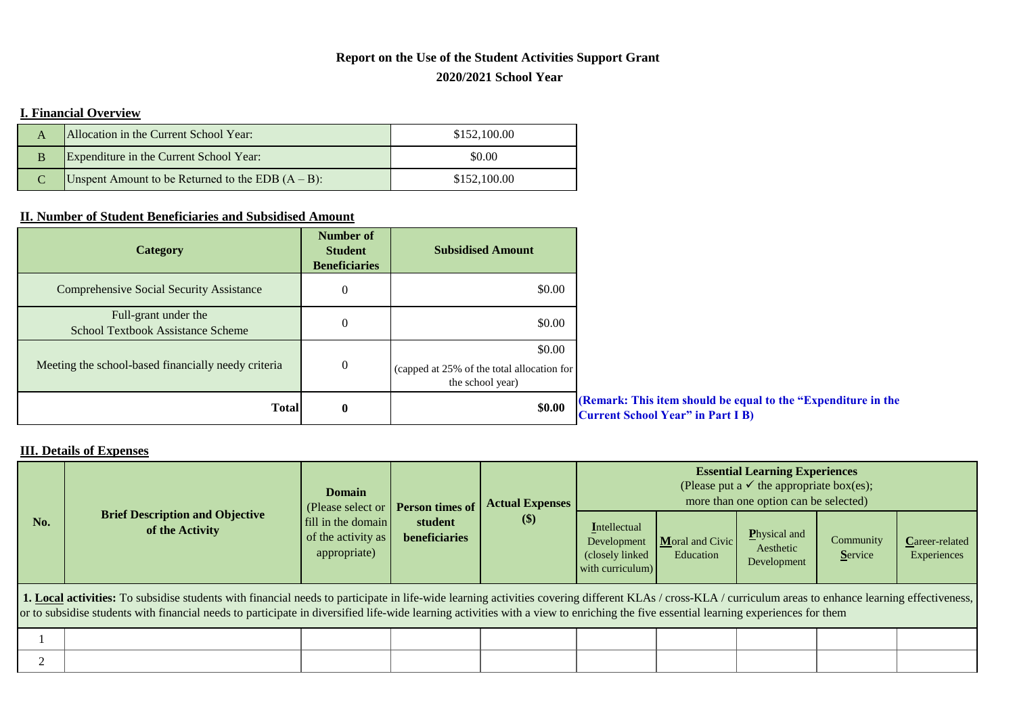## **2020/2021 School Year Report on the Use of the Student Activities Support Grant**

## **I. Financial Overview**

| А | Allocation in the Current School Year:               | \$152,100.00 |
|---|------------------------------------------------------|--------------|
| B | Expenditure in the Current School Year:              | \$0.00       |
|   | Unspent Amount to be Returned to the EDB $(A - B)$ : | \$152,100.00 |

## **II. Number of Student Beneficiaries and Subsidised Amount**

| <b>Category</b>                                                  | <b>Number of</b><br><b>Student</b><br><b>Beneficiaries</b> | <b>Subsidised Amount</b>                                                 |                                                                                                           |
|------------------------------------------------------------------|------------------------------------------------------------|--------------------------------------------------------------------------|-----------------------------------------------------------------------------------------------------------|
| <b>Comprehensive Social Security Assistance</b>                  | 0                                                          | \$0.00                                                                   |                                                                                                           |
| Full-grant under the<br><b>School Textbook Assistance Scheme</b> | $\theta$                                                   | \$0.00                                                                   |                                                                                                           |
| Meeting the school-based financially needy criteria              | $\mathbf{0}$                                               | \$0.00<br>(capped at 25% of the total allocation for<br>the school year) |                                                                                                           |
| <b>Total</b>                                                     | $\bf{0}$                                                   | \$0.00                                                                   | (Remark: This item should be equal to the "Expenditure in the<br><b>Current School Year" in Part I B)</b> |

## **III. Details of Expenses**

|                                                                                                                                                                                                                                                                                                                                                                                                  |                                                           | <b>Domain</b><br>(Please select or <b>Person times of</b> |               | <b>Actual Expenses</b><br>\$)<br>student | <b>Essential Learning Experiences</b><br>(Please put a $\checkmark$ the appropriate box(es);<br>more than one option can be selected) |                              |                                                  |                      |                               |
|--------------------------------------------------------------------------------------------------------------------------------------------------------------------------------------------------------------------------------------------------------------------------------------------------------------------------------------------------------------------------------------------------|-----------------------------------------------------------|-----------------------------------------------------------|---------------|------------------------------------------|---------------------------------------------------------------------------------------------------------------------------------------|------------------------------|--------------------------------------------------|----------------------|-------------------------------|
| No.                                                                                                                                                                                                                                                                                                                                                                                              | <b>Brief Description and Objective</b><br>of the Activity | fill in the domain<br>of the activity as<br>appropriate)  | beneficiaries |                                          | Intellectual<br>Development<br>(closely linked)<br>with curriculum)                                                                   | Moral and Civic<br>Education | <b>P</b> hysical and<br>Aesthetic<br>Development | Community<br>Service | Career-related<br>Experiences |
| 1. Local activities: To subsidise students with financial needs to participate in life-wide learning activities covering different KLAs / cross-KLA / curriculum areas to enhance learning effectiveness,<br>or to subsidise students with financial needs to participate in diversified life-wide learning activities with a view to enriching the five essential learning experiences for them |                                                           |                                                           |               |                                          |                                                                                                                                       |                              |                                                  |                      |                               |
|                                                                                                                                                                                                                                                                                                                                                                                                  |                                                           |                                                           |               |                                          |                                                                                                                                       |                              |                                                  |                      |                               |
|                                                                                                                                                                                                                                                                                                                                                                                                  |                                                           |                                                           |               |                                          |                                                                                                                                       |                              |                                                  |                      |                               |